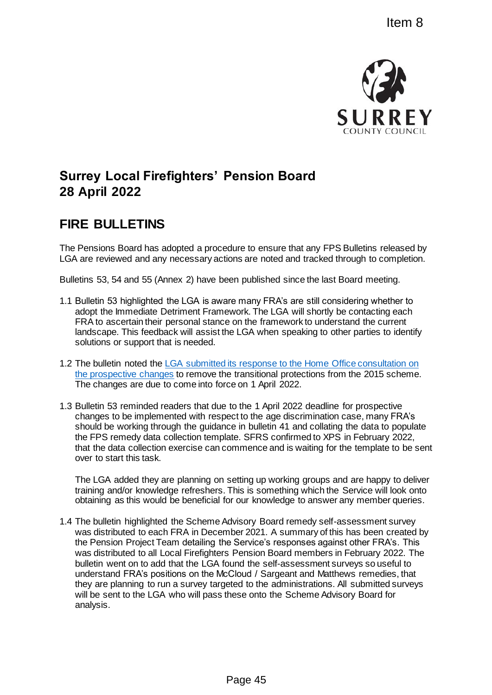

## **Surrey Local Firefighters' Pension Board 28 April 2022**

## **FIRE BULLETINS**

The Pensions Board has adopted a procedure to ensure that any FPS Bulletins released by LGA are reviewed and any necessary actions are noted and tracked through to completion.

Bulletins 53, 54 and 55 (Annex 2) have been published since the last Board meeting.

- 1.1 Bulletin 53 highlighted the LGA is aware many FRA's are still considering whether to adopt the Immediate Detriment Framework. The LGA will shortly be contacting each FRA to ascertain their personal stance on the framework to understand the current landscape. This feedback will assist the LGA when speaking to other parties to identify solutions or support that is needed.
- 1.2 The bulletin noted the [LGA submitted its response to the Home Office consultation](https://www.fpsregs.org/images/Consultations/HO-consultation-prospective-remedy-LGA-response-2-January-2022.pdf) on [the prospective changes](https://www.fpsregs.org/images/Consultations/HO-consultation-prospective-remedy-LGA-response-2-January-2022.pdf) to remove the transitional protections from the 2015 scheme. The changes are due to come into force on 1 April 2022.
- 1.3 Bulletin 53 reminded readers that due to the 1 April 2022 deadline for prospective changes to be implemented with respect to the age discrimination case, many FRA's should be working through the guidance in bulletin 41 and collating the data to populate the FPS remedy data collection template. SFRS confirmed to XPS in February 2022, that the data collection exercise can commence and is waiting for the template to be sent over to start this task.

The LGA added they are planning on setting up working groups and are happy to deliver training and/or knowledge refreshers. This is something which the Service will look onto obtaining as this would be beneficial for our knowledge to answer any member queries.

1.4 The bulletin highlighted the Scheme Advisory Board remedy self-assessment survey was distributed to each FRA in December 2021. A summary of this has been created by the Pension Project Team detailing the Service's responses against other FRA's. This was distributed to all Local Firefighters Pension Board members in February 2022. The bulletin went on to add that the LGA found the self-assessment surveys so useful to understand FRA's positions on the McCloud / Sargeant and Matthews remedies, that they are planning to run a survey targeted to the administrations. All submitted surveys will be sent to the LGA who will pass these onto the Scheme Advisory Board for analysis. The State of the Scheme Advisory<br>
Solution Board<br>
Solution Board<br>
Solution Board<br>
Solution Board<br>
Solution Board<br>
Solution Board<br>
Solution Board<br>
Solution Board<br>
Solution Board<br>
Head A will shortly be contacting each<br>
on t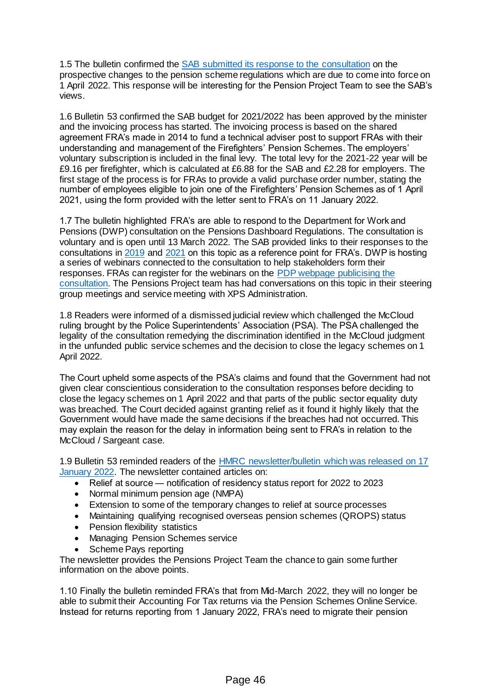1.5 The bulletin confirmed the [SAB submitted its response to the consultation](https://www.fpsboard.org/images/PDF/Consultations/HO-consultation-prospective-remedy-FPS-SAB-response-2-January-2022.pdf) on the prospective changes to the pension scheme regulations which are due to come into force on 1 April 2022. This response will be interesting for the Pension Project Team to see the SAB's views.

1.6 Bulletin 53 confirmed the SAB budget for 2021/2022 has been approved by the minister and the invoicing process has started. The invoicing process is based on the shared agreement FRA's made in 2014 to fund a technical adviser post to support FRAs with their understanding and management of the Firefighters' Pension Schemes. The employers' voluntary subscription is included in the final levy. The total levy for the 2021-22 year will be £9.16 per firefighter, which is calculated at £6.88 for the SAB and £2.28 for employers. The first stage of the process is for FRAs to provide a valid purchase order number, stating the number of employees eligible to join one of the Firefighters' Pension Schemes as of 1 April 2021, using the form provided with the letter sent to FRA's on 11 January 2022.

1.7 The bulletin highlighted FRA's are able to respond to the Department for Work and Pensions (DWP) consultation on the Pensions Dashboard Regulations. The consultation is voluntary and is open until 13 March 2022. The SAB provided links to their responses to the consultations in [2019](https://www.fpsboard.org/images/PDF/Consultations/DWPdashboard280119.pdf) and [2021](https://www.fpsboard.org/images/PDF/Consultations/FPS-SAB-response-to-PDP-staging-call-for-input-9-July-2021.pdf) on this topic as a reference point for FRA's. DWP is hosting a series of webinars connected to the consultation to help stakeholders form their responses. FRAs can register for the webinars on the [PDP webpage publicising the](https://www.pensionsdashboardsprogramme.org.uk/2022/01/31/dwp-consultation-regulations-pensions-dashboards-pdp-standards/)  [consultation.](https://www.pensionsdashboardsprogramme.org.uk/2022/01/31/dwp-consultation-regulations-pensions-dashboards-pdp-standards/) The Pensions Project team has had conversations on this topic in their steering group meetings and service meeting with XPS Administration.

1.8 Readers were informed of a dismissed judicial review which challenged the McCloud ruling brought by the Police Superintendents' Association (PSA). The PSA challenged the legality of the consultation remedying the discrimination identified in the McCloud judgment in the unfunded public service schemes and the decision to close the legacy schemes on 1 April 2022.

The Court upheld some aspects of the PSA's claims and found that the Government had not given clear conscientious consideration to the consultation responses before deciding to close the legacy schemes on 1 April 2022 and that parts of the public sector equality duty was breached. The Court decided against granting relief as it found it highly likely that the Government would have made the same decisions if the breaches had not occurred. This may explain the reason for the delay in information being sent to FRA's in relation to the McCloud / Sargeant case.

1.9 Bulletin 53 reminded readers of the [HMRC newsletter/bulletin which was released on 17](https://www.gov.uk/government/publications/pension-schemes-newsletter-136-january-2022/pension-schemes-newsletter-136-january-2022)  [January 2022.](https://www.gov.uk/government/publications/pension-schemes-newsletter-136-january-2022/pension-schemes-newsletter-136-january-2022) The newsletter contained articles on:

- Relief at source notification of residency status report for 2022 to 2023
- Normal minimum pension age (NMPA)
- Extension to some of the temporary changes to relief at source processes
- Maintaining qualifying recognised overseas pension schemes (QROPS) status
- Pension flexibility statistics
- Managing Pension Schemes service
- Scheme Pays reporting

The newsletter provides the Pensions Project Team the chance to gain some further information on the above points.

1.10 Finally the bulletin reminded FRA's that from Mid-March 2022, they will no longer be able to submit their Accounting For Tax returns via the Pension Schemes Online Service. Instead for returns reporting from 1 January 2022, FRA's need to migrate their pension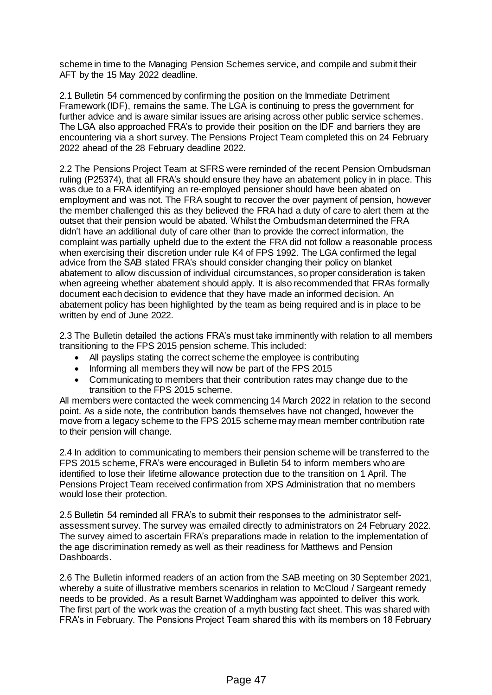scheme in time to the Managing Pension Schemes service, and compile and submit their AFT by the 15 May 2022 deadline.

2.1 Bulletin 54 commenced by confirming the position on the Immediate Detriment Framework (IDF), remains the same. The LGA is continuing to press the government for further advice and is aware similar issues are arising across other public service schemes. The LGA also approached FRA's to provide their position on the IDF and barriers they are encountering via a short survey. The Pensions Project Team completed this on 24 February 2022 ahead of the 28 February deadline 2022.

2.2 The Pensions Project Team at SFRS were reminded of the recent Pension Ombudsman ruling (P25374), that all FRA's should ensure they have an abatement policy in in place. This was due to a FRA identifying an re-employed pensioner should have been abated on employment and was not. The FRA sought to recover the over payment of pension, however the member challenged this as they believed the FRA had a duty of care to alert them at the outset that their pension would be abated. Whilst the Ombudsman determined the FRA didn't have an additional duty of care other than to provide the correct information, the complaint was partially upheld due to the extent the FRA did not follow a reasonable process when exercising their discretion under rule K4 of FPS 1992. The LGA confirmed the legal advice from the SAB stated FRA's should consider changing their policy on blanket abatement to allow discussion of individual circumstances, so proper consideration is taken when agreeing whether abatement should apply. It is also recommended that FRAs formally document each decision to evidence that they have made an informed decision. An abatement policy has been highlighted by the team as being required and is in place to be written by end of June 2022.

2.3 The Bulletin detailed the actions FRA's must take imminently with relation to all members transitioning to the FPS 2015 pension scheme. This included:

- All payslips stating the correct scheme the employee is contributing
- Informing all members they will now be part of the FPS 2015
- Communicating to members that their contribution rates may change due to the transition to the FPS 2015 scheme.

All members were contacted the week commencing 14 March 2022 in relation to the second point. As a side note, the contribution bands themselves have not changed, however the move from a legacy scheme to the FPS 2015 scheme may mean member contribution rate to their pension will change.

2.4 In addition to communicating to members their pension scheme will be transferred to the FPS 2015 scheme, FRA's were encouraged in Bulletin 54 to inform members who are identified to lose their lifetime allowance protection due to the transition on 1 April. The Pensions Project Team received confirmation from XPS Administration that no members would lose their protection.

2.5 Bulletin 54 reminded all FRA's to submit their responses to the administrator selfassessment survey. The survey was emailed directly to administrators on 24 February 2022. The survey aimed to ascertain FRA's preparations made in relation to the implementation of the age discrimination remedy as well as their readiness for Matthews and Pension Dashboards.

2.6 The Bulletin informed readers of an action from the SAB meeting on 30 September 2021, whereby a suite of illustrative members scenarios in relation to McCloud / Sargeant remedy needs to be provided. As a result Barnet Waddingham was appointed to deliver this work. The first part of the work was the creation of a myth busting fact sheet. This was shared with FRA's in February. The Pensions Project Team shared this with its members on 18 February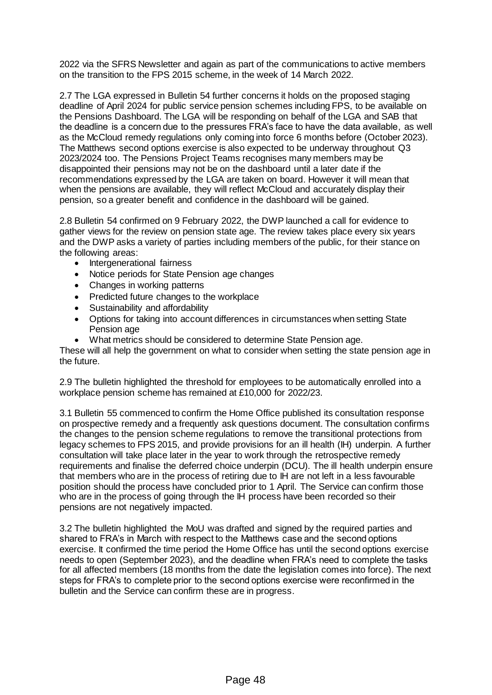2022 via the SFRS Newsletter and again as part of the communications to active members on the transition to the FPS 2015 scheme, in the week of 14 March 2022.

2.7 The LGA expressed in Bulletin 54 further concerns it holds on the proposed staging deadline of April 2024 for public service pension schemes including FPS, to be available on the Pensions Dashboard. The LGA will be responding on behalf of the LGA and SAB that the deadline is a concern due to the pressures FRA's face to have the data available, as well as the McCloud remedy regulations only coming into force 6 months before (October 2023). The Matthews second options exercise is also expected to be underway throughout Q3 2023/2024 too. The Pensions Project Teams recognises many members may be disappointed their pensions may not be on the dashboard until a later date if the recommendations expressed by the LGA are taken on board. However it will mean that when the pensions are available, they will reflect McCloud and accurately display their pension, so a greater benefit and confidence in the dashboard will be gained.

2.8 Bulletin 54 confirmed on 9 February 2022, the DWP launched a call for evidence to gather views for the review on pension state age. The review takes place every six years and the DWP asks a variety of parties including members of the public, for their stance on the following areas:

- Intergenerational fairness
- Notice periods for State Pension age changes
- Changes in working patterns
- Predicted future changes to the workplace
- Sustainability and affordability
- Options for taking into account differences in circumstances when setting State Pension age
- What metrics should be considered to determine State Pension age.

These will all help the government on what to consider when setting the state pension age in the future.

2.9 The bulletin highlighted the threshold for employees to be automatically enrolled into a workplace pension scheme has remained at £10,000 for 2022/23.

3.1 Bulletin 55 commenced to confirm the Home Office published its consultation response on prospective remedy and a frequently ask questions document. The consultation confirms the changes to the pension scheme regulations to remove the transitional protections from legacy schemes to FPS 2015, and provide provisions for an ill health (IH) underpin. A further consultation will take place later in the year to work through the retrospective remedy requirements and finalise the deferred choice underpin (DCU). The ill health underpin ensure that members who are in the process of retiring due to IH are not left in a less favourable position should the process have concluded prior to 1 April. The Service can confirm those who are in the process of going through the IH process have been recorded so their pensions are not negatively impacted.

3.2 The bulletin highlighted the MoU was drafted and signed by the required parties and shared to FRA's in March with respect to the Matthews case and the second options exercise. It confirmed the time period the Home Office has until the second options exercise needs to open (September 2023), and the deadline when FRA's need to complete the tasks for all affected members (18 months from the date the legislation comes into force). The next steps for FRA's to complete prior to the second options exercise were reconfirmed in the bulletin and the Service can confirm these are in progress.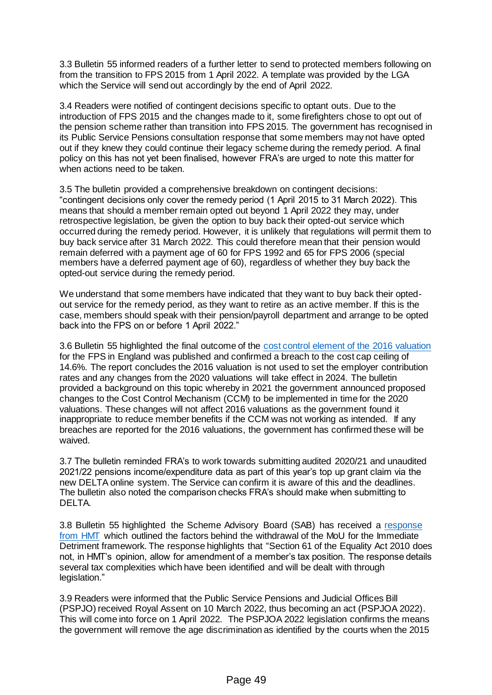3.3 Bulletin 55 informed readers of a further letter to send to protected members following on from the transition to FPS 2015 from 1 April 2022. A template was provided by the LGA which the Service will send out accordingly by the end of April 2022.

3.4 Readers were notified of contingent decisions specific to optant outs. Due to the introduction of FPS 2015 and the changes made to it, some firefighters chose to opt out of the pension scheme rather than transition into FPS 2015. The government has recognised in its Public Service Pensions consultation response that some members may not have opted out if they knew they could continue their legacy scheme during the remedy period. A final policy on this has not yet been finalised, however FRA's are urged to note this matter for when actions need to be taken.

3.5 The bulletin provided a comprehensive breakdown on contingent decisions: "contingent decisions only cover the remedy period (1 April 2015 to 31 March 2022). This means that should a member remain opted out beyond 1 April 2022 they may, under retrospective legislation, be given the option to buy back their opted-out service which occurred during the remedy period. However, it is unlikely that regulations will permit them to buy back service after 31 March 2022. This could therefore mean that their pension would remain deferred with a payment age of 60 for FPS 1992 and 65 for FPS 2006 (special members have a deferred payment age of 60), regardless of whether they buy back the opted-out service during the remedy period.

We understand that some members have indicated that they want to buy back their optedout service for the remedy period, as they want to retire as an active member. If this is the case, members should speak with their pension/payroll department and arrange to be opted back into the FPS on or before 1 April 2022."

3.6 Bulletin 55 highlighted the final outcome of the [cost control element of the 2016 valuation](https://www.fpsregs.org/images/Valuation/FPS-England-cost-cap-valuation-2016-final-report.pdf) for the FPS in England was published and confirmed a breach to the cost cap ceiling of 14.6%. The report concludes the 2016 valuation is not used to set the employer contribution rates and any changes from the 2020 valuations will take effect in 2024. The bulletin provided a background on this topic whereby in 2021 the government announced proposed changes to the Cost Control Mechanism (CCM) to be implemented in time for the 2020 valuations. These changes will not affect 2016 valuations as the government found it inappropriate to reduce member benefits if the CCM was not working as intended. If any breaches are reported for the 2016 valuations, the government has confirmed these will be waived.

3.7 The bulletin reminded FRA's to work towards submitting audited 2020/21 and unaudited 2021/22 pensions income/expenditure data as part of this year's top up grant claim via the new DELTA online system. The Service can confirm it is aware of this and the deadlines. The bulletin also noted the comparison checks FRA's should make when submitting to DELTA.

3.8 Bulletin 55 highlighted the Scheme Advisory Board (SAB) has received a [response](https://www.fpsboard.org/images/PDF/Correspondence/HMT-response-to-SAB-on-immediate-detriment-23-March-2022.pdf)  [from HMT](https://www.fpsboard.org/images/PDF/Correspondence/HMT-response-to-SAB-on-immediate-detriment-23-March-2022.pdf) which outlined the factors behind the withdrawal of the MoU for the Immediate Detriment framework. The response highlights that "Section 61 of the Equality Act 2010 does not, in HMT's opinion, allow for amendment of a member's tax position. The response details several tax complexities which have been identified and will be dealt with through legislation."

3.9 Readers were informed that the Public Service Pensions and Judicial Offices Bill (PSPJO) received Royal Assent on 10 March 2022, thus becoming an act (PSPJOA 2022). This will come into force on 1 April 2022. The PSPJOA 2022 legislation confirms the means the government will remove the age discrimination as identified by the courts when the 2015